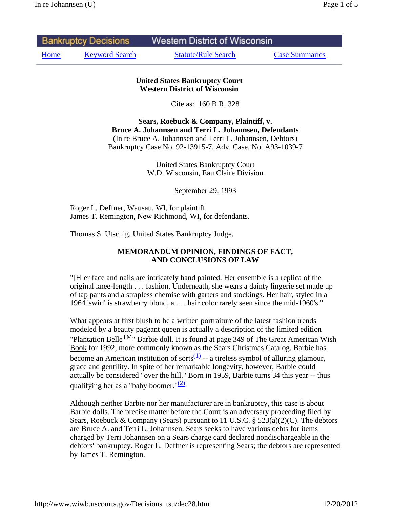| <b>Bankruptcy Decisions</b> |                       | <b>Western District of Wisconsin</b> |                       |
|-----------------------------|-----------------------|--------------------------------------|-----------------------|
| Home                        | <b>Keyword Search</b> | <b>Statute/Rule Search</b>           | <b>Case Summaries</b> |

## **United States Bankruptcy Court Western District of Wisconsin**

Cite as: 160 B.R. 328

**Sears, Roebuck & Company, Plaintiff, v. Bruce A. Johannsen and Terri L. Johannsen, Defendants**  (In re Bruce A. Johannsen and Terri L. Johannsen, Debtors) Bankruptcy Case No. 92-13915-7, Adv. Case. No. A93-1039-7

> United States Bankruptcy Court W.D. Wisconsin, Eau Claire Division

> > September 29, 1993

Roger L. Deffner, Wausau, WI, for plaintiff. James T. Remington, New Richmond, WI, for defendants.

Thomas S. Utschig, United States Bankruptcy Judge.

## **MEMORANDUM OPINION, FINDINGS OF FACT, AND CONCLUSIONS OF LAW**

"[H]er face and nails are intricately hand painted. Her ensemble is a replica of the original knee-length . . . fashion. Underneath, she wears a dainty lingerie set made up of tap pants and a strapless chemise with garters and stockings. Her hair, styled in a 1964 'swirl' is strawberry blond, a . . . hair color rarely seen since the mid-1960's."

What appears at first blush to be a written portraiture of the latest fashion trends modeled by a beauty pageant queen is actually a description of the limited edition "Plantation Belle<sup>TM</sup>" Barbie doll. It is found at page 349 of The Great American Wish Book for 1992, more commonly known as the Sears Christmas Catalog. Barbie has become an American institution of sorts $\frac{(1)}{2}$  -- a tireless symbol of alluring glamour, grace and gentility. In spite of her remarkable longevity, however, Barbie could actually be considered "over the hill." Born in 1959, Barbie turns 34 this year -- thus qualifying her as a "baby boomer." $(2)$ 

Although neither Barbie nor her manufacturer are in bankruptcy, this case is about Barbie dolls. The precise matter before the Court is an adversary proceeding filed by Sears, Roebuck & Company (Sears) pursuant to 11 U.S.C. § 523(a)(2)(C). The debtors are Bruce A. and Terri L. Johannsen. Sears seeks to have various debts for items charged by Terri Johannsen on a Sears charge card declared nondischargeable in the debtors' bankruptcy. Roger L. Deffner is representing Sears; the debtors are represented by James T. Remington.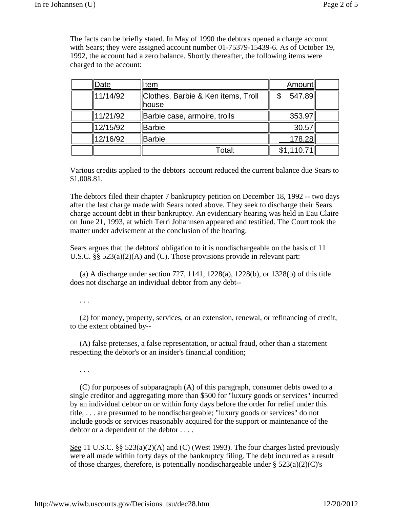The facts can be briefly stated. In May of 1990 the debtors opened a charge account with Sears; they were assigned account number 01-75379-15439-6. As of October 19, 1992, the account had a zero balance. Shortly thereafter, the following items were charged to the account:

| Date     | ltem                                        | <b>Amount</b> |  |
|----------|---------------------------------------------|---------------|--|
| 11/14/92 | Clothes, Barbie & Ken items, Troll<br>house | 547.89        |  |
| 11/21/92 | Barbie case, armoire, trolls                | 353.97        |  |
| 12/15/92 | Barbie                                      | 30.57         |  |
| 12/16/92 | Barbie                                      | 178.28        |  |
|          | Total:                                      | \$1,110.71    |  |

Various credits applied to the debtors' account reduced the current balance due Sears to \$1,008.81.

The debtors filed their chapter 7 bankruptcy petition on December 18, 1992 -- two days after the last charge made with Sears noted above. They seek to discharge their Sears charge account debt in their bankruptcy. An evidentiary hearing was held in Eau Claire on June 21, 1993, at which Terri Johannsen appeared and testified. The Court took the matter under advisement at the conclusion of the hearing.

Sears argues that the debtors' obligation to it is nondischargeable on the basis of 11 U.S.C. §§ 523(a)(2)(A) and (C). Those provisions provide in relevant part:

 (a) A discharge under section 727, 1141, 1228(a), 1228(b), or 1328(b) of this title does not discharge an individual debtor from any debt--

## . . .

 (2) for money, property, services, or an extension, renewal, or refinancing of credit, to the extent obtained by--

 (A) false pretenses, a false representation, or actual fraud, other than a statement respecting the debtor's or an insider's financial condition;

. . .

 (C) for purposes of subparagraph (A) of this paragraph, consumer debts owed to a single creditor and aggregating more than \$500 for "luxury goods or services" incurred by an individual debtor on or within forty days before the order for relief under this title, . . . are presumed to be nondischargeable; "luxury goods or services" do not include goods or services reasonably acquired for the support or maintenance of the debtor or a dependent of the debtor . . . .

See 11 U.S.C. §§  $523(a)(2)(A)$  and (C) (West 1993). The four charges listed previously were all made within forty days of the bankruptcy filing. The debt incurred as a result of those charges, therefore, is potentially nondischargeable under  $\S 523(a)(2)(C)'s$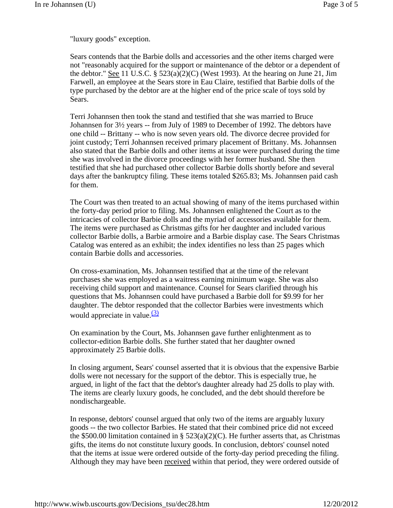"luxury goods" exception.

Sears contends that the Barbie dolls and accessories and the other items charged were not "reasonably acquired for the support or maintenance of the debtor or a dependent of the debtor." See 11 U.S.C.  $\S$  523(a)(2)(C) (West 1993). At the hearing on June 21, Jim Farwell, an employee at the Sears store in Eau Claire, testified that Barbie dolls of the type purchased by the debtor are at the higher end of the price scale of toys sold by Sears.

Terri Johannsen then took the stand and testified that she was married to Bruce Johannsen for 3½ years -- from July of 1989 to December of 1992. The debtors have one child -- Brittany -- who is now seven years old. The divorce decree provided for joint custody; Terri Johannsen received primary placement of Brittany. Ms. Johannsen also stated that the Barbie dolls and other items at issue were purchased during the time she was involved in the divorce proceedings with her former husband. She then testified that she had purchased other collector Barbie dolls shortly before and several days after the bankruptcy filing. These items totaled \$265.83; Ms. Johannsen paid cash for them.

The Court was then treated to an actual showing of many of the items purchased within the forty-day period prior to filing. Ms. Johannsen enlightened the Court as to the intricacies of collector Barbie dolls and the myriad of accessories available for them. The items were purchased as Christmas gifts for her daughter and included various collector Barbie dolls, a Barbie armoire and a Barbie display case. The Sears Christmas Catalog was entered as an exhibit; the index identifies no less than 25 pages which contain Barbie dolls and accessories.

On cross-examination, Ms. Johannsen testified that at the time of the relevant purchases she was employed as a waitress earning minimum wage. She was also receiving child support and maintenance. Counsel for Sears clarified through his questions that Ms. Johannsen could have purchased a Barbie doll for \$9.99 for her daughter. The debtor responded that the collector Barbies were investments which would appreciate in value. $\frac{(3)}{2}$ 

On examination by the Court, Ms. Johannsen gave further enlightenment as to collector-edition Barbie dolls. She further stated that her daughter owned approximately 25 Barbie dolls.

In closing argument, Sears' counsel asserted that it is obvious that the expensive Barbie dolls were not necessary for the support of the debtor. This is especially true, he argued, in light of the fact that the debtor's daughter already had 25 dolls to play with. The items are clearly luxury goods, he concluded, and the debt should therefore be nondischargeable.

In response, debtors' counsel argued that only two of the items are arguably luxury goods -- the two collector Barbies. He stated that their combined price did not exceed the \$500.00 limitation contained in §  $523(a)(2)(C)$ . He further asserts that, as Christmas gifts, the items do not constitute luxury goods. In conclusion, debtors' counsel noted that the items at issue were ordered outside of the forty-day period preceding the filing. Although they may have been received within that period, they were ordered outside of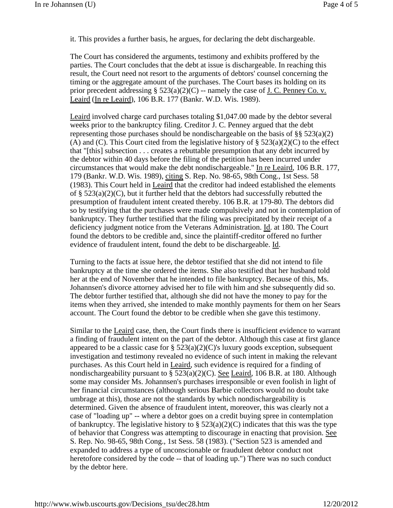it. This provides a further basis, he argues, for declaring the debt dischargeable.

The Court has considered the arguments, testimony and exhibits proffered by the parties. The Court concludes that the debt at issue is dischargeable. In reaching this result, the Court need not resort to the arguments of debtors' counsel concerning the timing or the aggregate amount of the purchases. The Court bases its holding on its prior precedent addressing §  $523(a)(2)(C)$  -- namely the case of J. C. Penney Co. v. Leaird (In re Leaird), 106 B.R. 177 (Bankr. W.D. Wis. 1989).

Leaird involved charge card purchases totaling \$1,047.00 made by the debtor several weeks prior to the bankruptcy filing. Creditor J. C. Penney argued that the debt representing those purchases should be nondischargeable on the basis of  $\S\S 523(a)(2)$ (A) and (C). This Court cited from the legislative history of  $\S 523(a)(2)(C)$  to the effect that "[this] subsection . . . creates a rebuttable presumption that any debt incurred by the debtor within 40 days before the filing of the petition has been incurred under circumstances that would make the debt nondischargeable." In re Leaird, 106 B.R. 177, 179 (Bankr. W.D. Wis. 1989), citing S. Rep. No. 98-65, 98th Cong., 1st Sess. 58 (1983). This Court held in Leaird that the creditor had indeed established the elements of §  $523(a)(2)(C)$ , but it further held that the debtors had successfully rebutted the presumption of fraudulent intent created thereby. 106 B.R. at 179-80. The debtors did so by testifying that the purchases were made compulsively and not in contemplation of bankruptcy. They further testified that the filing was precipitated by their receipt of a deficiency judgment notice from the Veterans Administration. Id. at 180. The Court found the debtors to be credible and, since the plaintiff-creditor offered no further evidence of fraudulent intent, found the debt to be dischargeable. Id.

Turning to the facts at issue here, the debtor testified that she did not intend to file bankruptcy at the time she ordered the items. She also testified that her husband told her at the end of November that he intended to file bankruptcy. Because of this, Ms. Johannsen's divorce attorney advised her to file with him and she subsequently did so. The debtor further testified that, although she did not have the money to pay for the items when they arrived, she intended to make monthly payments for them on her Sears account. The Court found the debtor to be credible when she gave this testimony.

Similar to the Leaird case, then, the Court finds there is insufficient evidence to warrant a finding of fraudulent intent on the part of the debtor. Although this case at first glance appeared to be a classic case for  $\S 523(a)(2)(C)$ 's luxury goods exception, subsequent investigation and testimony revealed no evidence of such intent in making the relevant purchases. As this Court held in Leaird, such evidence is required for a finding of nondischargeability pursuant to  $\S 523(a)(2)(C)$ . See Leaird, 106 B.R. at 180. Although some may consider Ms. Johannsen's purchases irresponsible or even foolish in light of her financial circumstances (although serious Barbie collectors would no doubt take umbrage at this), those are not the standards by which nondischargeability is determined. Given the absence of fraudulent intent, moreover, this was clearly not a case of "loading up" -- where a debtor goes on a credit buying spree in contemplation of bankruptcy. The legislative history to  $\S$  523(a)(2)(C) indicates that this was the type of behavior that Congress was attempting to discourage in enacting that provision. See S. Rep. No. 98-65, 98th Cong., 1st Sess. 58 (1983). ("Section 523 is amended and expanded to address a type of unconscionable or fraudulent debtor conduct not heretofore considered by the code -- that of loading up.") There was no such conduct by the debtor here.